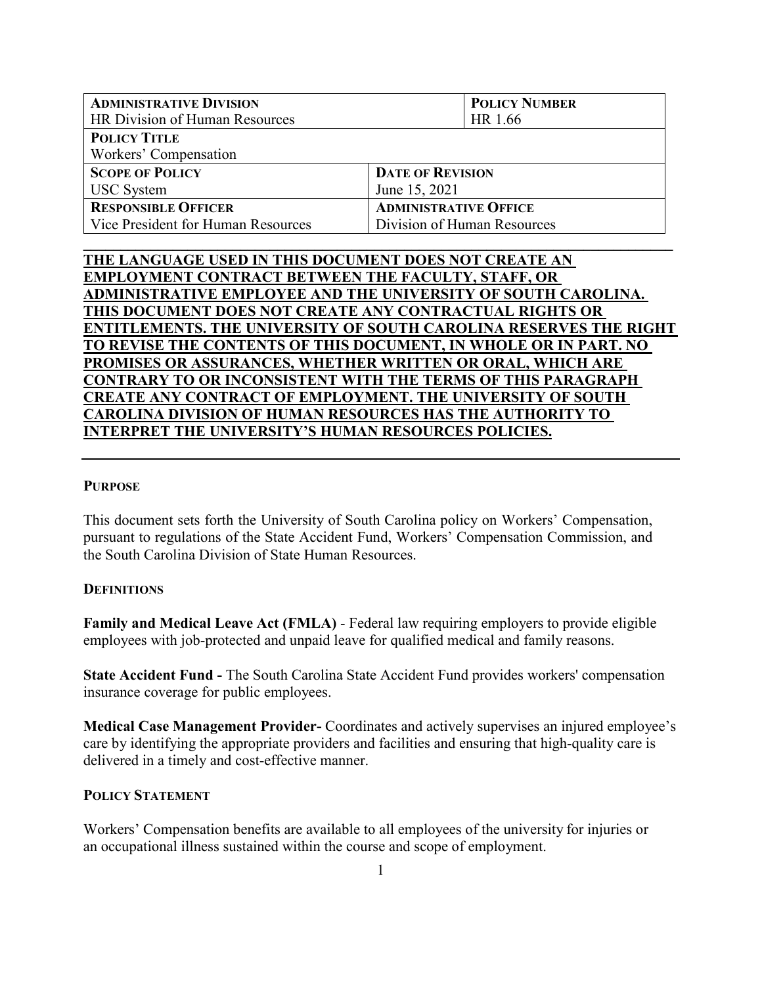| <b>ADMINISTRATIVE DIVISION</b>     | <b>POLICY NUMBER</b>         |  |
|------------------------------------|------------------------------|--|
| HR Division of Human Resources     | HR 1.66                      |  |
| <b>POLICY TITLE</b>                |                              |  |
| Workers' Compensation              |                              |  |
| <b>SCOPE OF POLICY</b>             | <b>DATE OF REVISION</b>      |  |
| <b>USC</b> System                  | June 15, 2021                |  |
| <b>RESPONSIBLE OFFICER</b>         | <b>ADMINISTRATIVE OFFICE</b> |  |
| Vice President for Human Resources | Division of Human Resources  |  |

**\_\_\_\_\_\_\_\_\_\_\_\_\_\_\_\_\_\_\_\_\_\_\_\_\_\_\_\_\_\_\_\_\_\_\_\_\_\_\_\_\_\_\_\_\_\_\_\_\_\_\_\_\_\_\_\_\_\_\_\_\_\_\_\_\_\_\_\_\_\_\_\_\_\_\_\_\_\_\_**

**THE LANGUAGE USED IN THIS DOCUMENT DOES NOT CREATE AN EMPLOYMENT CONTRACT BETWEEN THE FACULTY, STAFF, OR ADMINISTRATIVE EMPLOYEE AND THE UNIVERSITY OF SOUTH CAROLINA. THIS DOCUMENT DOES NOT CREATE ANY CONTRACTUAL RIGHTS OR ENTITLEMENTS. THE UNIVERSITY OF SOUTH CAROLINA RESERVES THE RIGHT TO REVISE THE CONTENTS OF THIS DOCUMENT, IN WHOLE OR IN PART. NO PROMISES OR ASSURANCES, WHETHER WRITTEN OR ORAL, WHICH ARE CONTRARY TO OR INCONSISTENT WITH THE TERMS OF THIS PARAGRAPH CREATE ANY CONTRACT OF EMPLOYMENT. THE UNIVERSITY OF SOUTH CAROLINA DIVISION OF HUMAN RESOURCES HAS THE AUTHORITY TO INTERPRET THE UNIVERSITY'S HUMAN RESOURCES POLICIES.**

### **PURPOSE**

This document sets forth the University of South Carolina policy on Workers' Compensation, pursuant to regulations of the State Accident Fund, Workers' Compensation Commission, and the South Carolina Division of State Human Resources.

# **DEFINITIONS**

**Family and Medical Leave Act (FMLA)** - Federal law requiring employers to provide eligible employees with job-protected and unpaid leave for qualified medical and family reasons.

**State Accident Fund -** The South Carolina State Accident Fund provides workers' compensation insurance coverage for public employees.

**Medical Case Management Provider-** Coordinates and actively supervises an injured employee's care by identifying the appropriate providers and facilities and ensuring that high-quality care is delivered in a timely and cost-effective manner.

#### **POLICY STATEMENT**

Workers' Compensation benefits are available to all employees of the university for injuries or an occupational illness sustained within the course and scope of employment.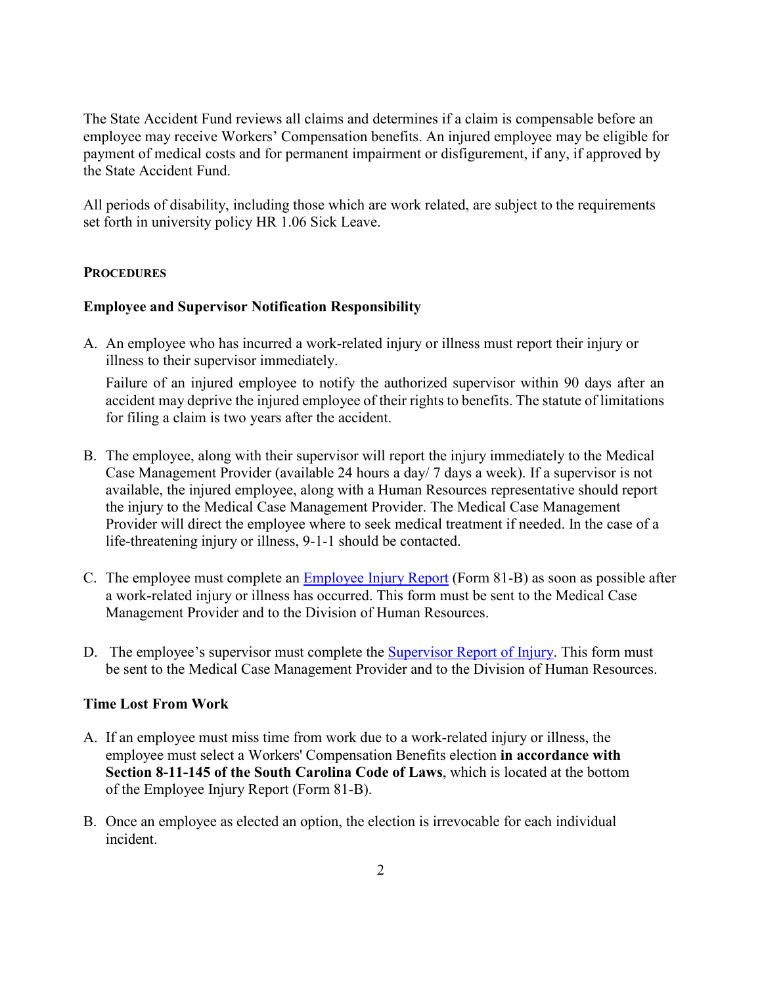The State Accident Fund reviews all claims and determines if a claim is compensable before an employee may receive Workers' Compensation benefits. An injured employee may be eligible for payment of medical costs and for permanent impairment or disfigurement, if any, if approved by the State Accident Fund.

All periods of disability, including those which are work related, are subject to the requirements set forth in university policy HR 1.06 Sick Leave.

#### **PROCEDURES**

### **Employee and Supervisor Notification Responsibility**

A. An employee who has incurred a work-related injury or illness must report their injury or illness to their supervisor immediately.

Failure of an injured employee to notify the authorized supervisor within 90 days after an accident may deprive the injured employee of their rights to benefits. The statute of limitations for filing a claim is two years after the accident.

- B. The employee, along with their supervisor will report the injury immediately to the Medical Case Management Provider (available 24 hours a day/ 7 days a week). If a supervisor is not available, the injured employee, along with a Human Resources representative should report the injury to the Medical Case Management Provider. The Medical Case Management Provider will direct the employee where to seek medical treatment if needed. In the case of a life-threatening injury or illness, 9-1-1 should be contacted.
- C. The employee must complete an [Employee Injury Report](https://sc.edu/about/offices_and_divisions/human_resources/docs/hr81b.pdf) (Form 81-B) as soon as possible after a work-related injury or illness has occurred. This form must be sent to the Medical Case Management Provider and to the Division of Human Resources.
- D. The employee's supervisor must complete the [Supervisor Report of Injury.](https://sc.edu/about/offices_and_divisions/human_resources/docs/hr81c.pdf) This form must be sent to the Medical Case Management Provider and to the Division of Human Resources.

#### **Time Lost From Work**

- A. If an employee must miss time from work due to a work-related injury or illness, the employee must select a Workers' Compensation Benefits election **in accordance with Section 8-11-145 of the South Carolina Code of Laws**, which is located at the bottom of the Employee Injury Report (Form 81-B).
- B. Once an employee as elected an option, the election is irrevocable for each individual incident.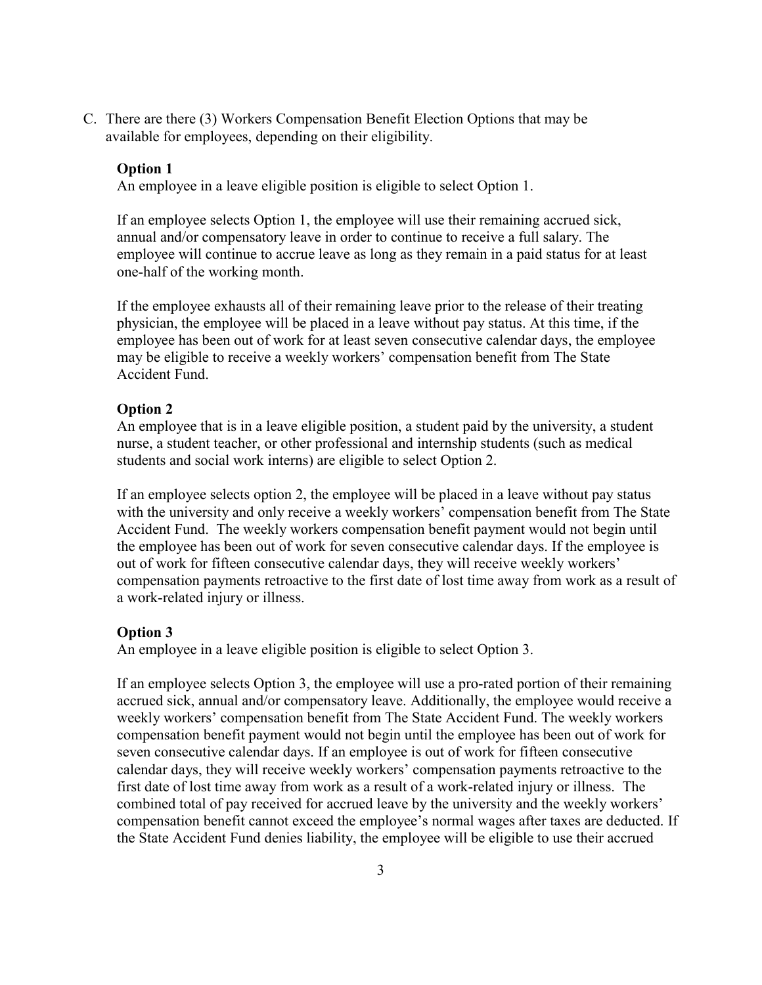C. There are there (3) Workers Compensation Benefit Election Options that may be available for employees, depending on their eligibility.

#### **Option 1**

An employee in a leave eligible position is eligible to select Option 1.

If an employee selects Option 1, the employee will use their remaining accrued sick, annual and/or compensatory leave in order to continue to receive a full salary. The employee will continue to accrue leave as long as they remain in a paid status for at least one-half of the working month.

If the employee exhausts all of their remaining leave prior to the release of their treating physician, the employee will be placed in a leave without pay status. At this time, if the employee has been out of work for at least seven consecutive calendar days, the employee may be eligible to receive a weekly workers' compensation benefit from The State Accident Fund.

#### **Option 2**

An employee that is in a leave eligible position, a student paid by the university, a student nurse, a student teacher, or other professional and internship students (such as medical students and social work interns) are eligible to select Option 2.

If an employee selects option 2, the employee will be placed in a leave without pay status with the university and only receive a weekly workers' compensation benefit from The State Accident Fund. The weekly workers compensation benefit payment would not begin until the employee has been out of work for seven consecutive calendar days. If the employee is out of work for fifteen consecutive calendar days, they will receive weekly workers' compensation payments retroactive to the first date of lost time away from work as a result of a work-related injury or illness.

#### **Option 3**

An employee in a leave eligible position is eligible to select Option 3.

If an employee selects Option 3, the employee will use a pro-rated portion of their remaining accrued sick, annual and/or compensatory leave. Additionally, the employee would receive a weekly workers' compensation benefit from The State Accident Fund. The weekly workers compensation benefit payment would not begin until the employee has been out of work for seven consecutive calendar days. If an employee is out of work for fifteen consecutive calendar days, they will receive weekly workers' compensation payments retroactive to the first date of lost time away from work as a result of a work-related injury or illness. The combined total of pay received for accrued leave by the university and the weekly workers' compensation benefit cannot exceed the employee's normal wages after taxes are deducted. If the State Accident Fund denies liability, the employee will be eligible to use their accrued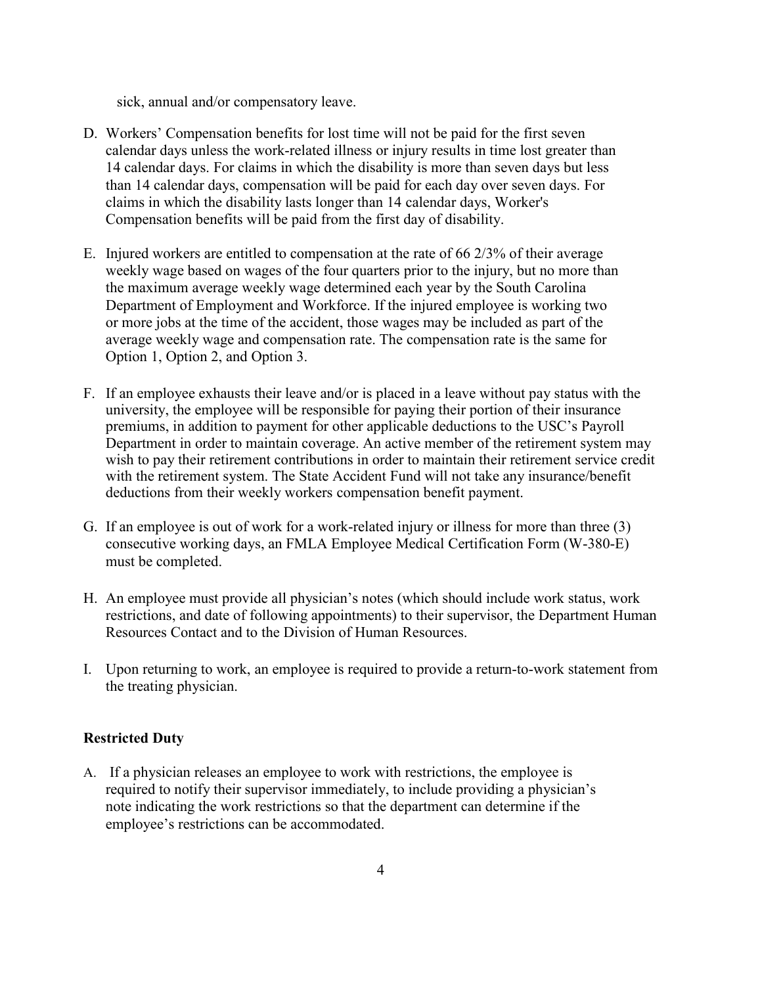sick, annual and/or compensatory leave.

- D. Workers' Compensation benefits for lost time will not be paid for the first seven calendar days unless the work-related illness or injury results in time lost greater than 14 calendar days. For claims in which the disability is more than seven days but less than 14 calendar days, compensation will be paid for each day over seven days. For claims in which the disability lasts longer than 14 calendar days, Worker's Compensation benefits will be paid from the first day of disability.
- E. Injured workers are entitled to compensation at the rate of 66 2/3% of their average weekly wage based on wages of the four quarters prior to the injury, but no more than the maximum average weekly wage determined each year by the South Carolina Department of Employment and Workforce. If the injured employee is working two or more jobs at the time of the accident, those wages may be included as part of the average weekly wage and compensation rate. The compensation rate is the same for Option 1, Option 2, and Option 3.
- F. If an employee exhausts their leave and/or is placed in a leave without pay status with the university, the employee will be responsible for paying their portion of their insurance premiums, in addition to payment for other applicable deductions to the USC's Payroll Department in order to maintain coverage. An active member of the retirement system may wish to pay their retirement contributions in order to maintain their retirement service credit with the retirement system. The State Accident Fund will not take any insurance/benefit deductions from their weekly workers compensation benefit payment.
- G. If an employee is out of work for a work-related injury or illness for more than three (3) consecutive working days, an FMLA Employee Medical Certification Form (W-380-E) must be completed.
- H. An employee must provide all physician's notes (which should include work status, work restrictions, and date of following appointments) to their supervisor, the Department Human Resources Contact and to the Division of Human Resources.
- I. Upon returning to work, an employee is required to provide a return-to-work statement from the treating physician.

# **Restricted Duty**

A. If a physician releases an employee to work with restrictions, the employee is required to notify their supervisor immediately, to include providing a physician's note indicating the work restrictions so that the department can determine if the employee's restrictions can be accommodated.